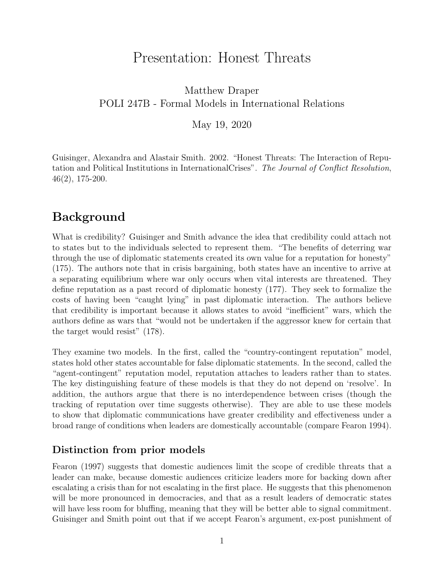# Presentation: Honest Threats

#### <span id="page-0-0"></span>Matthew Draper POLI 247B - Formal Models in International Relations

May 19, 2020

Guisinger, Alexandra and Alastair Smith. 2002. "Honest Threats: The Interaction of Reputation and Political Institutions in InternationalCrises". The Journal of Conflict Resolution, 46(2), 175-200.

### Background

What is credibility? Guisinger and Smith advance the idea that credibility could attach not to states but to the individuals selected to represent them. "The benefits of deterring war through the use of diplomatic statements created its own value for a reputation for honesty" (175). The authors note that in crisis bargaining, both states have an incentive to arrive at a separating equilibrium where war only occurs when vital interests are threatened. They define reputation as a past record of diplomatic honesty (177). They seek to formalize the costs of having been "caught lying" in past diplomatic interaction. The authors believe that credibility is important because it allows states to avoid "inefficient" wars, which the authors define as wars that "would not be undertaken if the aggressor knew for certain that the target would resist" (178).

They examine two models. In the first, called the "country-contingent reputation" model, states hold other states accountable for false diplomatic statements. In the second, called the "agent-contingent" reputation model, reputation attaches to leaders rather than to states. The key distinguishing feature of these models is that they do not depend on 'resolve'. In addition, the authors argue that there is no interdependence between crises (though the tracking of reputation over time suggests otherwise). They are able to use these models to show that diplomatic communications have greater credibility and effectiveness under a broad range of conditions when leaders are domestically accountable (compare Fearon 1994).

#### Distinction from prior models

Fearon (1997) suggests that domestic audiences limit the scope of credible threats that a leader can make, because domestic audiences criticize leaders more for backing down after escalating a crisis than for not escalating in the first place. He suggests that this phenomenon will be more pronounced in democracies, and that as a result leaders of democratic states will have less room for bluffing, meaning that they will be better able to signal commitment. Guisinger and Smith point out that if we accept Fearon's argument, ex-post punishment of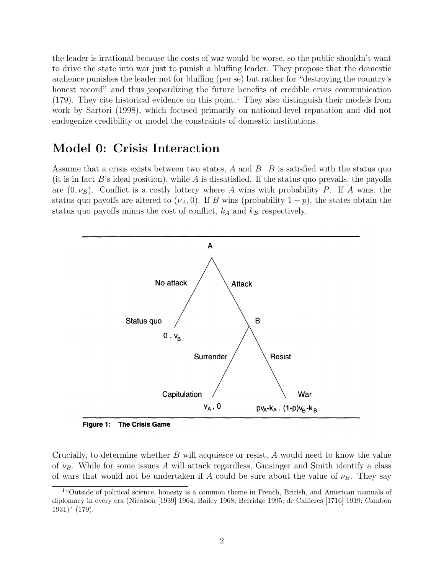the leader is irrational because the costs of war would be worse, so the public shouldn't want to drive the state into war just to punish a bluffing leader. They propose that the domestic audience punishes the leader not for bluffing (per se) but rather for "destroying the country's honest record" and thus jeopardizing the future benefits of credible crisis communication ([1](#page-0-0)79). They cite historical evidence on this point.<sup>1</sup> They also distinguish their models from work by Sartori (1998), which focused primarily on national-level reputation and did not endogenize credibility or model the constraints of domestic institutions.

#### Model 0: Crisis Interaction

Assume that a crisis exists between two states,  $A$  and  $B$ .  $B$  is satisfied with the status quo (it is in fact  $B$ 's ideal position), while  $A$  is dissatisfied. If the status quo prevails, the payoffs are  $(0, \nu_B)$ . Conflict is a costly lottery where A wins with probability P. If A wins, the status quo payoffs are altered to  $(\nu_A, 0)$ . If B wins (probability  $1 - p$ ), the states obtain the status quo payoffs minus the cost of conflict,  $k_A$  and  $k_B$  respectively.



**Figure 1: The Crisis Game** 

Crucially, to determine whether B will acquiesce or resist, A would need to know the value of  $\nu_B$ . While for some issues A will attack regardless, Guisinger and Smith identify a class of wars that would not be undertaken if A could be sure about the value of  $\nu_B$ . They say

<sup>&</sup>lt;sup>1</sup>"Outside of political science, honesty is a common theme in French, British, and American manuals of diplomacy in every era (Nicolson [1939] 1964; Bailey 1968; Berridge 1995; de Callieres [1716] 1919; Cambon 1931)" (179).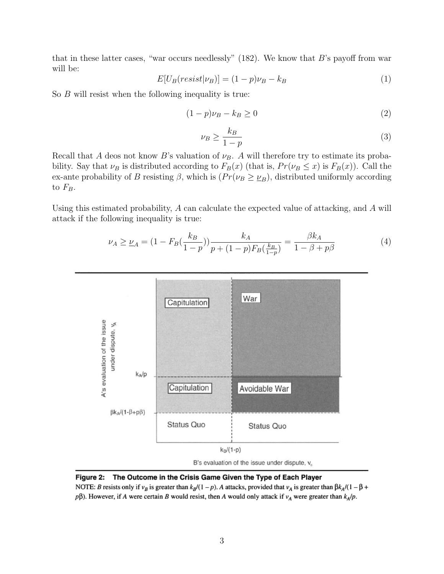that in these latter cases, "war occurs needlessly" (182). We know that  $B$ 's payoff from war will be:

$$
E[U_B(resist|\nu_B)] = (1-p)\nu_B - k_B \tag{1}
$$

So B will resist when the following inequality is true:

$$
(1 - p)\nu_B - k_B \ge 0\tag{2}
$$

$$
\nu_B \ge \frac{k_B}{1-p} \tag{3}
$$

Recall that A deos not know B's valuation of  $\nu_B$ . A will therefore try to estimate its probability. Say that  $\nu_B$  is distributed according to  $F_B(x)$  (that is,  $Pr(\nu_B \leq x)$  is  $F_B(x)$ ). Call the ex-ante probability of B resisting  $\beta$ , which is  $(Pr(\nu_B \geq \nu_B))$ , distributed uniformly according to  $F_B$ .

Using this estimated probability, A can calculate the expected value of attacking, and A will attack if the following inequality is true:

$$
\nu_A \ge \nu_A = (1 - F_B(\frac{k_B}{1 - p})) \frac{k_A}{p + (1 - p)F_B(\frac{k_B}{1 - p})} = \frac{\beta k_A}{1 - \beta + p\beta} \tag{4}
$$





NOTE: B resists only if  $v_B$  is greater than  $k_B/(1-p)$ . A attacks, provided that  $v_A$  is greater than  $\beta k_A/(1-\beta +$  $p\beta$ ). However, if A were certain B would resist, then A would only attack if  $v_A$  were greater than  $k_A/p$ .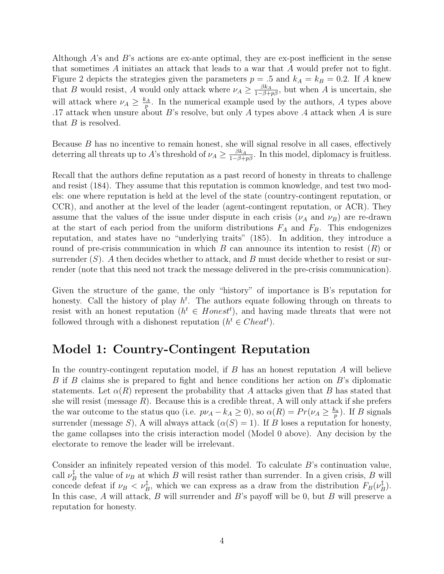Although A's and B's actions are ex-ante optimal, they are ex-post inefficient in the sense that sometimes A initiates an attack that leads to a war that A would prefer not to fight. Figure 2 depicts the strategies given the parameters  $p = 0.5$  and  $k_A = k_B = 0.2$ . If A knew that B would resist, A would only attack where  $\nu_A \geq \frac{\beta k_A}{1-\beta+p\beta}$ , but when A is uncertain, she will attack where  $\nu_A \geq \frac{k_A}{n}$  $\frac{p_A}{p}$ . In the numerical example used by the authors, A types above .17 attack when unsure about  $B$ 's resolve, but only  $A$  types above  $A$  attack when  $A$  is sure that  $B$  is resolved.

Because B has no incentive to remain honest, she will signal resolve in all cases, effectively deterring all threats up to A's threshold of  $\nu_A \geq \frac{\beta k_A}{1-\beta+p\beta}$ . In this model, diplomacy is fruitless.

Recall that the authors define reputation as a past record of honesty in threats to challenge and resist (184). They assume that this reputation is common knowledge, and test two models: one where reputation is held at the level of the state (country-contingent reputation, or CCR), and another at the level of the leader (agent-contingent reputation, or ACR). They assume that the values of the issue under dispute in each crisis  $(\nu_A \text{ and } \nu_B)$  are re-drawn at the start of each period from the uniform distributions  $F_A$  and  $F_B$ . This endogenizes reputation, and states have no "underlying traits" (185). In addition, they introduce a round of pre-crisis communication in which  $B$  can announce its intention to resist  $(R)$  or surrender  $(S)$ . A then decides whether to attack, and B must decide whether to resist or surrender (note that this need not track the message delivered in the pre-crisis communication).

Given the structure of the game, the only "history" of importance is B's reputation for honesty. Call the history of play  $h^t$ . The authors equate following through on threats to resist with an honest reputation  $(h^t \in Homest^t)$ , and having made threats that were not followed through with a dishonest reputation  $(h^t \in Check^t)$ .

#### Model 1: Country-Contingent Reputation

In the country-contingent reputation model, if  $B$  has an honest reputation  $A$  will believe B if B claims she is prepared to fight and hence conditions her action on B's diplomatic statements. Let  $\alpha(R)$  represent the probability that A attacks given that B has stated that she will resist (message  $R$ ). Because this is a credible threat, A will only attack if she prefers the war outcome to the status quo (i.e.  $p\nu_A - k_A \ge 0$ ), so  $\alpha(R) = Pr(\nu_A \ge \frac{k_a}{n})$  $\frac{c_a}{p}$ ). If *B* signals surrender (message S), A will always attack  $(\alpha(S) = 1)$ . If B loses a reputation for honesty, the game collapses into the crisis interaction model (Model 0 above). Any decision by the electorate to remove the leader will be irrelevant.

Consider an infinitely repeated version of this model. To calculate B's continuation value, call  $\nu_F^{\ddag}$  $B_B^{\ddag}$  the value of  $\nu_B$  at which B will resist rather than surrender. In a given crisis, B will concede defeat if  $\nu_B < \nu_B^{\ddagger}$ , which we can express as a draw from the distribution  $F_B(\nu_E^{\ddagger})$  $\frac{1}{B}$ ). In this case,  $A$  will attack,  $B$  will surrender and  $B$ 's payoff will be 0, but  $B$  will preserve a reputation for honesty.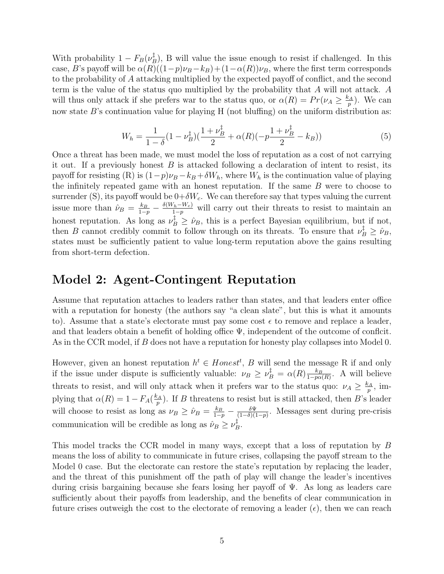With probability  $1-F_B(\nu_k^{\ddagger})$  $\mathbb{B}^{T}_{B}$ , B will value the issue enough to resist if challenged. In this case, B's payoff will be  $\alpha(R)((1-p)\nu_B - k_B) + (1-\alpha(R))\nu_B$ , where the first term corresponds to the probability of A attacking multiplied by the expected payoff of conflict, and the second term is the value of the status quo multiplied by the probability that A will not attack. A will thus only attack if she prefers war to the status quo, or  $\alpha(R) = Pr(\nu_A \geq \frac{k_A}{n})$  $_p^{\varepsilon_A}$ ). We can now state  $B$ 's continuation value for playing H (not bluffing) on the uniform distribution as:

$$
W_h = \frac{1}{1-\delta}(1-\nu_B^{\ddagger})(\frac{1+\nu_B^{\ddagger}}{2}+\alpha(R)(-p\frac{1+\nu_B^{\ddagger}}{2}-k_B))
$$
\n(5)

Once a threat has been made, we must model the loss of reputation as a cost of not carrying it out. If a previously honest  $B$  is attacked following a declaration of intent to resist, its payoff for resisting (R) is  $(1-p)\nu_B - k_B + \delta W_h$ , where  $W_h$  is the continuation value of playing the infinitely repeated game with an honest reputation. If the same  $B$  were to choose to surrender (S), its payoff would be  $0+\delta W_c$ . We can therefore say that types valuing the current issue more than  $\hat{\nu}_B = \frac{k_B}{1-p} - \frac{\delta(W_h - W_c)}{1-p}$  will carry out their threats to resist to maintain an honest reputation. As long as  $\nu_B^{\dagger} \geq \hat{\nu}_B$ , this is a perfect Bayesian equilibrium, but if not, then B cannot credibly commit to follow through on its threats. To ensure that  $\nu_B^{\dagger} \geq \hat{\nu}_B$ , states must be sufficiently patient to value long-term reputation above the gains resulting from short-term defection.

#### Model 2: Agent-Contingent Reputation

Assume that reputation attaches to leaders rather than states, and that leaders enter office with a reputation for honesty (the authors say "a clean slate", but this is what it amounts to). Assume that a state's electorate must pay some cost  $\epsilon$  to remove and replace a leader, and that leaders obtain a benefit of holding office  $\Psi$ , independent of the outcome of conflcit. As in the CCR model, if B does not have a reputation for honesty play collapses into Model 0.

However, given an honest reputation  $h^t \in Honest^t$ , B will send the message R if and only if the issue under dispute is sufficiently valuable:  $\nu_B \ge \nu_B^{\ddagger} = \alpha(R) \frac{k_B}{1 - p\alpha}$  $\frac{k_B}{1-p\alpha(R)}$ . A will believe threats to resist, and will only attack when it prefers war to the status quo:  $\nu_A \geq \frac{k_A}{n}$  $\frac{p_A}{p}, \, \text{im}$ plying that  $\alpha(R) = 1 - F_A(\frac{k_A}{n})$  $_p^{\frac{2A}{p}}$ . If B threatens to resist but is still attacked, then B's leader will choose to resist as long as  $\nu_B \geq \hat{\nu}_B = \frac{k_B}{1-p} - \frac{\delta \Psi}{(1-\delta)(1-\delta)}$  $\frac{\delta \Psi}{(1-\delta)(1-p)}$ . Messages sent during pre-crisis communication will be credible as long as  $\hat{\nu}_B \geq \nu_E^{\ddagger}$  $_B^{\ddag}$ 

This model tracks the CCR model in many ways, except that a loss of reputation by B means the loss of ability to communicate in future crises, collapsing the payoff stream to the Model 0 case. But the electorate can restore the state's reputation by replacing the leader, and the threat of this punishment off the path of play will change the leader's incentives during crisis bargaining because she fears losing her payoff of Ψ. As long as leaders care sufficiently about their payoffs from leadership, and the benefits of clear communication in future crises outweigh the cost to the electorate of removing a leader ( $\epsilon$ ), then we can reach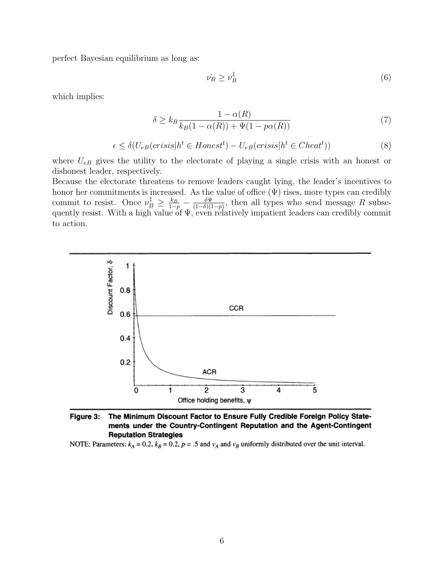perfect Bayesian equilibrium as long as:

$$
\hat{\nu_B} \ge \nu_B^{\ddagger} \tag{6}
$$

which implies:

$$
\delta \ge k_B \frac{1 - \alpha(R)}{k_B(1 - \alpha(R)) + \Psi(1 - p\alpha(R))}
$$
\n<sup>(7)</sup>

$$
\epsilon \le \delta(U_{eB}(crisis|h^t \in Honest^t) - U_{eB}(crisis|h^t \in Cheat^t))\tag{8}
$$

where  $U_{eB}$  gives the utility to the electorate of playing a single crisis with an honest or dishonest leader, respectively.

Because the electorate threatens to remove leaders caught lying, the leader's incentives to honor her commitments is increased. As the value of office  $(\Psi)$  rises, more types can credibly commit to resist. Once  $\nu_B^{\ddagger} \geq \frac{k_B}{1-p} - \frac{\delta \Psi}{(1-\delta)(1-p)}$  $\frac{\partial \Psi}{(1-\delta)(1-p)}$ , then all types who send message R subsequently resist. With a high value of  $\Psi$ , even relatively impatient leaders can credibly commit to action.



The Minimum Discount Factor to Ensure Fully Credible Foreign Policy State-Figure 3: ments under the Country-Contingent Reputation and the Agent-Contingent **Reputation Strategies** 

NOTE: Parameters:  $k_A = 0.2$ ,  $k_B = 0.2$ ,  $p = .5$  and  $v_A$  and  $v_B$  uniformly distributed over the unit interval.